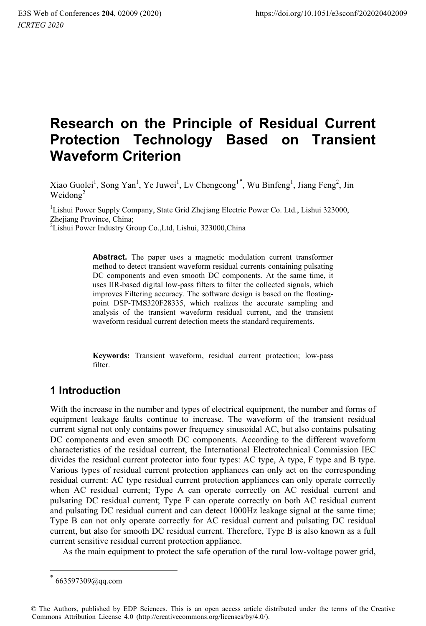# **Research on the Principle of Residual Current Protection Technology Based on Transient Waveform Criterion**

Xiao Guolei<sup>1</sup>, Song Yan<sup>1</sup>, Ye Juwei<sup>1</sup>, Lv Chengcong<sup>1\*</sup>, Wu Binfeng<sup>1</sup>, Jiang Feng<sup>2</sup>, Jin Weidong<sup>2</sup>

<sup>1</sup>Lishui Power Supply Company, State Grid Zhejiang Electric Power Co. Ltd., Lishui 323000, Zheijang Province, China;

2 Lishui Power Industry Group Co.,Ltd, Lishui, 323000,China

**Abstract.** The paper uses a magnetic modulation current transformer method to detect transient waveform residual currents containing pulsating DC components and even smooth DC components. At the same time, it uses IIR-based digital low-pass filters to filter the collected signals, which improves Filtering accuracy. The software design is based on the floatingpoint DSP-TMS320F28335, which realizes the accurate sampling and analysis of the transient waveform residual current, and the transient waveform residual current detection meets the standard requirements.

**Keywords:** Transient waveform, residual current protection; low-pass filter.

### **1 Introduction**

With the increase in the number and types of electrical equipment, the number and forms of equipment leakage faults continue to increase. The waveform of the transient residual current signal not only contains power frequency sinusoidal AC, but also contains pulsating DC components and even smooth DC components. According to the different waveform characteristics of the residual current, the International Electrotechnical Commission IEC divides the residual current protector into four types: AC type, A type, F type and B type. Various types of residual current protection appliances can only act on the corresponding residual current: AC type residual current protection appliances can only operate correctly when AC residual current; Type A can operate correctly on AC residual current and pulsating DC residual current; Type F can operate correctly on both AC residual current and pulsating DC residual current and can detect 1000Hz leakage signal at the same time; Type B can not only operate correctly for AC residual current and pulsating DC residual current, but also for smooth DC residual current. Therefore, Type B is also known as a full current sensitive residual current protection appliance.

As the main equipment to protect the safe operation of the rural low-voltage power grid,

 $\overline{a}$ 

<sup>663597309@</sup>gq.com

<sup>©</sup> The Authors, published by EDP Sciences. This is an open access article distributed under the terms of the Creative Commons Attribution License 4.0 (http://creativecommons.org/licenses/by/4.0/).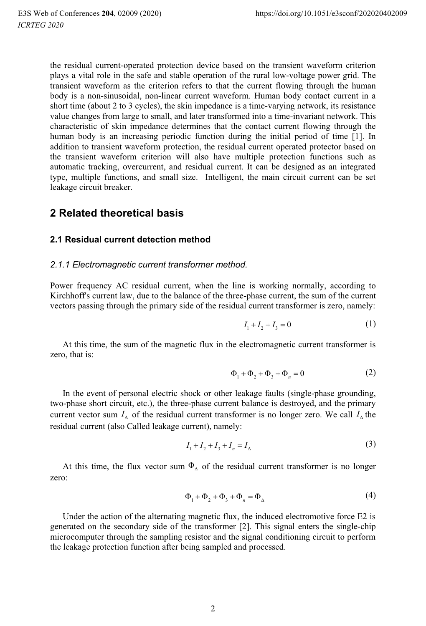the residual current-operated protection device based on the transient waveform criterion plays a vital role in the safe and stable operation of the rural low-voltage power grid. The transient waveform as the criterion refers to that the current flowing through the human body is a non-sinusoidal, non-linear current waveform. Human body contact current in a short time (about 2 to 3 cycles), the skin impedance is a time-varying network, its resistance value changes from large to small, and later transformed into a time-invariant network. This characteristic of skin impedance determines that the contact current flowing through the human body is an increasing periodic function during the initial period of time [1]. In addition to transient waveform protection, the residual current operated protector based on the transient waveform criterion will also have multiple protection functions such as automatic tracking, overcurrent, and residual current. It can be designed as an integrated type, multiple functions, and small size. Intelligent, the main circuit current can be set leakage circuit breaker.

### **2 Related theoretical basis**

#### **2.1 Residual current detection method**

#### *2.1.1 Electromagnetic current transformer method.*

Power frequency AC residual current, when the line is working normally, according to Kirchhoff's current law, due to the balance of the three-phase current, the sum of the current vectors passing through the primary side of the residual current transformer is zero, namely:

$$
I_1 + I_2 + I_3 = 0 \tag{1}
$$

At this time, the sum of the magnetic flux in the electromagnetic current transformer is zero, that is:

$$
\Phi_1 + \Phi_2 + \Phi_3 + \Phi_n = 0 \tag{2}
$$

In the event of personal electric shock or other leakage faults (single-phase grounding, two-phase short circuit, etc.), the three-phase current balance is destroyed, and the primary current vector sum  $I_{\Lambda}$  of the residual current transformer is no longer zero. We call  $I_{\Lambda}$  the residual current (also Called leakage current), namely:

$$
I_1 + I_2 + I_3 + I_n = I_\Delta \tag{3}
$$

At this time, the flux vector sum  $\Phi_{\Delta}$  of the residual current transformer is no longer zero:

$$
\Phi_1 + \Phi_2 + \Phi_3 + \Phi_n = \Phi_\Delta \tag{4}
$$

Under the action of the alternating magnetic flux, the induced electromotive force E2 is generated on the secondary side of the transformer [2]. This signal enters the single-chip microcomputer through the sampling resistor and the signal conditioning circuit to perform the leakage protection function after being sampled and processed.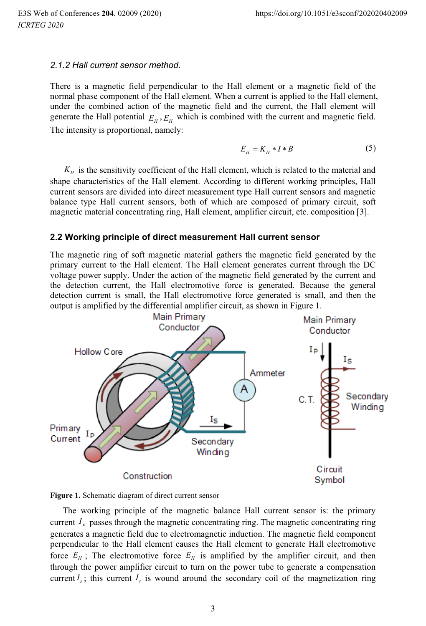#### *2.1.2 Hall current sensor method.*

There is a magnetic field perpendicular to the Hall element or a magnetic field of the normal phase component of the Hall element. When a current is applied to the Hall element, under the combined action of the magnetic field and the current, the Hall element will generate the Hall potential  $E_H$ ,  $E_H$  which is combined with the current and magnetic field. The intensity is proportional, namely:

$$
E_H = K_H * I * B \tag{5}
$$

 $K_H$  is the sensitivity coefficient of the Hall element, which is related to the material and shape characteristics of the Hall element. According to different working principles, Hall current sensors are divided into direct measurement type Hall current sensors and magnetic balance type Hall current sensors, both of which are composed of primary circuit, soft magnetic material concentrating ring, Hall element, amplifier circuit, etc. composition [3].

#### **2.2 Working principle of direct measurement Hall current sensor**

The magnetic ring of soft magnetic material gathers the magnetic field generated by the primary current to the Hall element. The Hall element generates current through the DC voltage power supply. Under the action of the magnetic field generated by the current and the detection current, the Hall electromotive force is generated. Because the general detection current is small, the Hall electromotive force generated is small, and then the output is amplified by the differential amplifier circuit, as shown in Figure 1.





The working principle of the magnetic balance Hall current sensor is: the primary current  $I_p$  passes through the magnetic concentrating ring. The magnetic concentrating ring generates a magnetic field due to electromagnetic induction. The magnetic field component perpendicular to the Hall element causes the Hall element to generate Hall electromotive force  $E_H$ ; The electromotive force  $E_H$  is amplified by the amplifier circuit, and then through the power amplifier circuit to turn on the power tube to generate a compensation current  $I_s$ ; this current  $I_s$  is wound around the secondary coil of the magnetization ring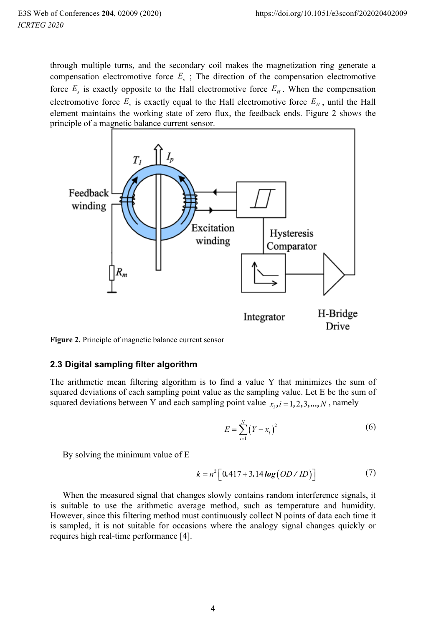through multiple turns, and the secondary coil makes the magnetization ring generate a compensation electromotive force  $E<sub>s</sub>$ ; The direction of the compensation electromotive force  $E<sub>s</sub>$  is exactly opposite to the Hall electromotive force  $E<sub>H</sub>$ . When the compensation electromotive force  $E_s$  is exactly equal to the Hall electromotive force  $E_H$ , until the Hall element maintains the working state of zero flux, the feedback ends. Figure 2 shows the principle of a magnetic balance current sensor.



**Figure 2.** Principle of magnetic balance current sensor

#### **2.3 Digital sampling filter algorithm**

The arithmetic mean filtering algorithm is to find a value Y that minimizes the sum of squared deviations of each sampling point value as the sampling value. Let E be the sum of squared deviations between Y and each sampling point value  $x_i, i = 1, 2, 3, \dots, N$ , namely

$$
E = \sum_{i=1}^{N} (Y - x_i)^2
$$
 (6)

By solving the minimum value of E

$$
k = n^{2} \left[ 0.417 + 3.14 \log (OD / ID) \right]
$$
 (7)

When the measured signal that changes slowly contains random interference signals, it is suitable to use the arithmetic average method, such as temperature and humidity. However, since this filtering method must continuously collect N points of data each time it is sampled, it is not suitable for occasions where the analogy signal changes quickly or requires high real-time performance [4].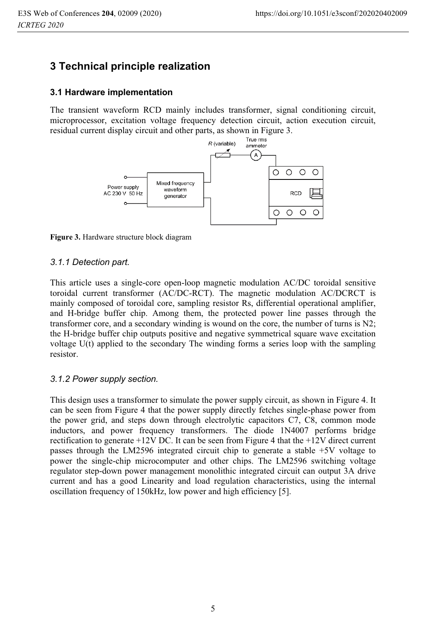# **3 Technical principle realization**

#### **3.1 Hardware implementation**

The transient waveform RCD mainly includes transformer, signal conditioning circuit, microprocessor, excitation voltage frequency detection circuit, action execution circuit, residual current display circuit and other parts, as shown in Figure 3.



**Figure 3.** Hardware structure block diagram

#### *3.1.1 Detection part.*

This article uses a single-core open-loop magnetic modulation AC/DC toroidal sensitive toroidal current transformer (AC/DC-RCT). The magnetic modulation AC/DCRCT is mainly composed of toroidal core, sampling resistor Rs, differential operational amplifier, and H-bridge buffer chip. Among them, the protected power line passes through the transformer core, and a secondary winding is wound on the core, the number of turns is N2; the H-bridge buffer chip outputs positive and negative symmetrical square wave excitation voltage U(t) applied to the secondary The winding forms a series loop with the sampling resistor.

#### *3.1.2 Power supply section.*

This design uses a transformer to simulate the power supply circuit, as shown in Figure 4. It can be seen from Figure 4 that the power supply directly fetches single-phase power from the power grid, and steps down through electrolytic capacitors C7, C8, common mode inductors, and power frequency transformers. The diode 1N4007 performs bridge rectification to generate +12V DC. It can be seen from Figure 4 that the +12V direct current passes through the LM2596 integrated circuit chip to generate a stable +5V voltage to power the single-chip microcomputer and other chips. The LM2596 switching voltage regulator step-down power management monolithic integrated circuit can output 3A drive current and has a good Linearity and load regulation characteristics, using the internal oscillation frequency of 150kHz, low power and high efficiency [5].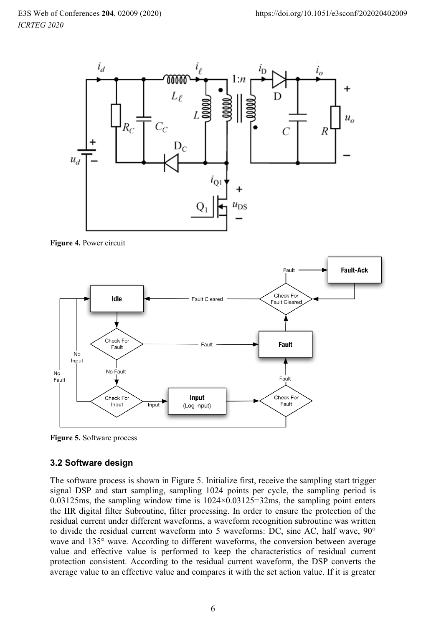

**Figure 4.** Power circuit



**Figure 5.** Software process

### **3.2 Software design**

The software process is shown in Figure 5. Initialize first, receive the sampling start trigger signal DSP and start sampling, sampling 1024 points per cycle, the sampling period is 0.03125ms, the sampling window time is 1024×0.03125=32ms, the sampling point enters the IIR digital filter Subroutine, filter processing. In order to ensure the protection of the residual current under different waveforms, a waveform recognition subroutine was written to divide the residual current waveform into 5 waveforms: DC, sine AC, half wave, 90° wave and 135° wave. According to different waveforms, the conversion between average value and effective value is performed to keep the characteristics of residual current protection consistent. According to the residual current waveform, the DSP converts the average value to an effective value and compares it with the set action value. If it is greater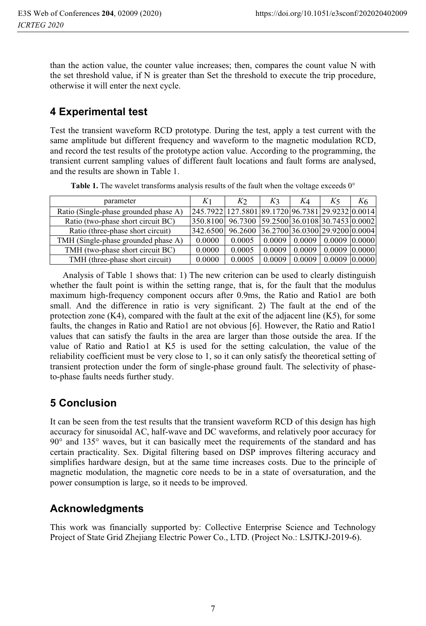than the action value, the counter value increases; then, compares the count value N with the set threshold value, if N is greater than Set the threshold to execute the trip procedure, otherwise it will enter the next cycle.

# **4 Experimental test**

Test the transient waveform RCD prototype. During the test, apply a test current with the same amplitude but different frequency and waveform to the magnetic modulation RCD, and record the test results of the prototype action value. According to the programming, the transient current sampling values of different fault locations and fault forms are analysed, and the results are shown in Table 1.

| parameter                             | K1                                               | Kэ                                     | K <sub>3</sub>                   | K4     | K5.                 | K6 |
|---------------------------------------|--------------------------------------------------|----------------------------------------|----------------------------------|--------|---------------------|----|
| Ratio (Single-phase grounded phase A) | 245.7922 127.5801 89.1720 96.7381 29.9232 0.0014 |                                        |                                  |        |                     |    |
| Ratio (two-phase short circuit BC)    | 350.8100                                         | 96.7300 59.2500 36.0108 30.7453 0.0002 |                                  |        |                     |    |
| Ratio (three-phase short circuit)     | 342.6500                                         | 96.2600 36.2700 36.0300 29.9200 0.0004 |                                  |        |                     |    |
| TMH (Single-phase grounded phase A)   | 0.0000                                           | 0.0005                                 | 0.0009   0.0009   0.0009  0.0000 |        |                     |    |
| TMH (two-phase short circuit BC)      | 0.0000                                           | 0.0005                                 | 0.0009                           | 0.0009 | $0.0009$ $ 0.0000 $ |    |
| TMH (three-phase short circuit)       | 0.0000                                           | 0.0005                                 | 0.0009                           | 0.0009 | $0.0009$ $ 0.0000 $ |    |

Table 1. The wavelet transforms analysis results of the fault when the voltage exceeds 0°

Analysis of Table 1 shows that: 1) The new criterion can be used to clearly distinguish whether the fault point is within the setting range, that is, for the fault that the modulus maximum high-frequency component occurs after 0.9ms, the Ratio and Ratio1 are both small. And the difference in ratio is very significant. 2) The fault at the end of the protection zone  $(K4)$ , compared with the fault at the exit of the adjacent line  $(K5)$ , for some faults, the changes in Ratio and Ratio1 are not obvious [6]. However, the Ratio and Ratio1 values that can satisfy the faults in the area are larger than those outside the area. If the value of Ratio and Ratio1 at K5 is used for the setting calculation, the value of the reliability coefficient must be very close to 1, so it can only satisfy the theoretical setting of transient protection under the form of single-phase ground fault. The selectivity of phaseto-phase faults needs further study.

# **5 Conclusion**

It can be seen from the test results that the transient waveform RCD of this design has high accuracy for sinusoidal AC, half-wave and DC waveforms, and relatively poor accuracy for 90° and 135° waves, but it can basically meet the requirements of the standard and has certain practicality. Sex. Digital filtering based on DSP improves filtering accuracy and simplifies hardware design, but at the same time increases costs. Due to the principle of magnetic modulation, the magnetic core needs to be in a state of oversaturation, and the power consumption is large, so it needs to be improved.

# **Acknowledgments**

This work was financially supported by: Collective Enterprise Science and Technology Project of State Grid Zhejiang Electric Power Co., LTD. (Project No.: LSJTKJ-2019-6).